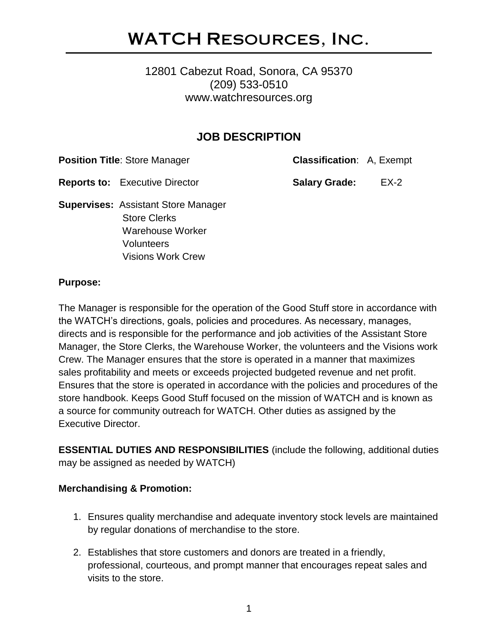## WATCH Resources, Inc.

## 12801 Cabezut Road, Sonora, CA 95370 (209) 533-0510 www.watchresources.org

## **JOB DESCRIPTION**

**Position Title**: Store Manager **Classification**: A, Exempt

**Reports to:** Executive Director **Salary Grade:** EX-2

**Supervises:** Assistant Store Manager Store Clerks Warehouse Worker **Volunteers** Visions Work Crew

#### **Purpose:**

The Manager is responsible for the operation of the Good Stuff store in accordance with the WATCH's directions, goals, policies and procedures. As necessary, manages, directs and is responsible for the performance and job activities of the Assistant Store Manager, the Store Clerks, the Warehouse Worker, the volunteers and the Visions work Crew. The Manager ensures that the store is operated in a manner that maximizes sales profitability and meets or exceeds projected budgeted revenue and net profit. Ensures that the store is operated in accordance with the policies and procedures of the store handbook. Keeps Good Stuff focused on the mission of WATCH and is known as a source for community outreach for WATCH. Other duties as assigned by the Executive Director.

**ESSENTIAL DUTIES AND RESPONSIBILITIES** (include the following, additional duties may be assigned as needed by WATCH)

#### **Merchandising & Promotion:**

- 1. Ensures quality merchandise and adequate inventory stock levels are maintained by regular donations of merchandise to the store.
- 2. Establishes that store customers and donors are treated in a friendly, professional, courteous, and prompt manner that encourages repeat sales and visits to the store.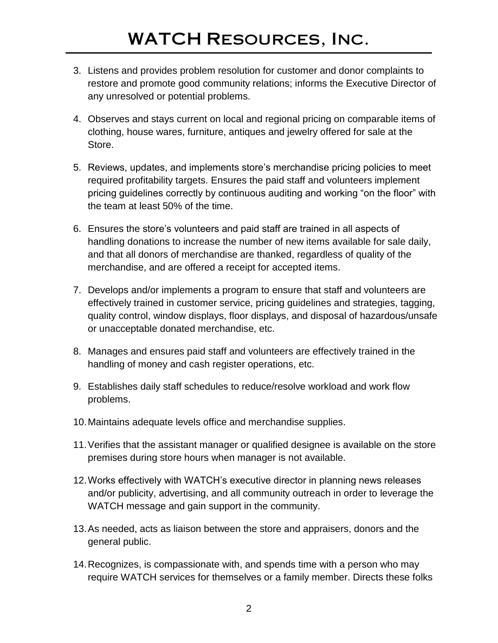- 3. Listens and provides problem resolution for customer and donor complaints to restore and promote good community relations; informs the Executive Director of any unresolved or potential problems.
- 4. Observes and stays current on local and regional pricing on comparable items of clothing, house wares, furniture, antiques and jewelry offered for sale at the Store.
- 5. Reviews, updates, and implements store's merchandise pricing policies to meet required profitability targets. Ensures the paid staff and volunteers implement pricing guidelines correctly by continuous auditing and working "on the floor" with the team at least 50% of the time.
- 6. Ensures the store's volunteers and paid staff are trained in all aspects of handling donations to increase the number of new items available for sale daily, and that all donors of merchandise are thanked, regardless of quality of the merchandise, and are offered a receipt for accepted items.
- 7. Develops and/or implements a program to ensure that staff and volunteers are effectively trained in customer service, pricing guidelines and strategies, tagging, quality control, window displays, floor displays, and disposal of hazardous/unsafe or unacceptable donated merchandise, etc.
- 8. Manages and ensures paid staff and volunteers are effectively trained in the handling of money and cash register operations, etc.
- 9. Establishes daily staff schedules to reduce/resolve workload and work flow problems.
- 10.Maintains adequate levels office and merchandise supplies.
- 11.Verifies that the assistant manager or qualified designee is available on the store premises during store hours when manager is not available.
- 12.Works effectively with WATCH's executive director in planning news releases and/or publicity, advertising, and all community outreach in order to leverage the WATCH message and gain support in the community.
- 13.As needed, acts as liaison between the store and appraisers, donors and the general public.
- 14.Recognizes, is compassionate with, and spends time with a person who may require WATCH services for themselves or a family member. Directs these folks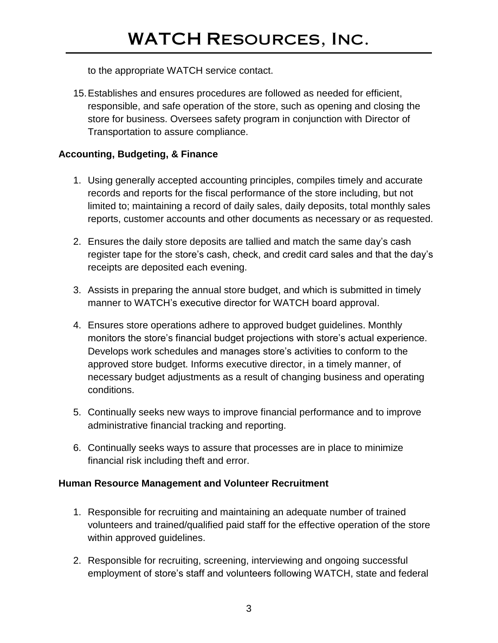to the appropriate WATCH service contact.

15.Establishes and ensures procedures are followed as needed for efficient, responsible, and safe operation of the store, such as opening and closing the store for business. Oversees safety program in conjunction with Director of Transportation to assure compliance.

## **Accounting, Budgeting, & Finance**

- 1. Using generally accepted accounting principles, compiles timely and accurate records and reports for the fiscal performance of the store including, but not limited to; maintaining a record of daily sales, daily deposits, total monthly sales reports, customer accounts and other documents as necessary or as requested.
- 2. Ensures the daily store deposits are tallied and match the same day's cash register tape for the store's cash, check, and credit card sales and that the day's receipts are deposited each evening.
- 3. Assists in preparing the annual store budget, and which is submitted in timely manner to WATCH's executive director for WATCH board approval.
- 4. Ensures store operations adhere to approved budget guidelines. Monthly monitors the store's financial budget projections with store's actual experience. Develops work schedules and manages store's activities to conform to the approved store budget. Informs executive director, in a timely manner, of necessary budget adjustments as a result of changing business and operating conditions.
- 5. Continually seeks new ways to improve financial performance and to improve administrative financial tracking and reporting.
- 6. Continually seeks ways to assure that processes are in place to minimize financial risk including theft and error.

### **Human Resource Management and Volunteer Recruitment**

- 1. Responsible for recruiting and maintaining an adequate number of trained volunteers and trained/qualified paid staff for the effective operation of the store within approved guidelines.
- 2. Responsible for recruiting, screening, interviewing and ongoing successful employment of store's staff and volunteers following WATCH, state and federal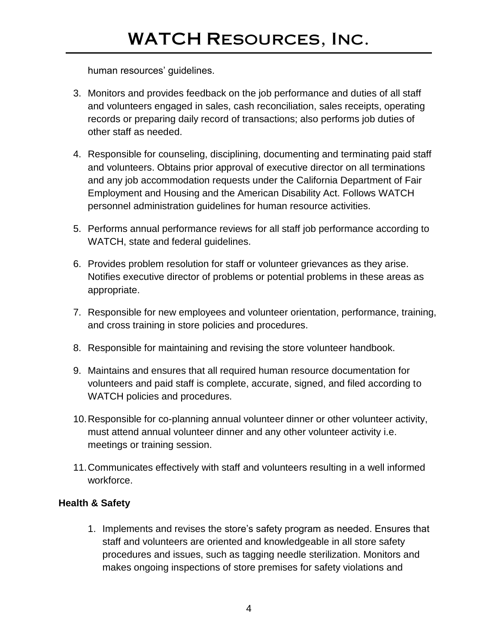## WATCH Resources, Inc.

human resources' guidelines.

- 3. Monitors and provides feedback on the job performance and duties of all staff and volunteers engaged in sales, cash reconciliation, sales receipts, operating records or preparing daily record of transactions; also performs job duties of other staff as needed.
- 4. Responsible for counseling, disciplining, documenting and terminating paid staff and volunteers. Obtains prior approval of executive director on all terminations and any job accommodation requests under the California Department of Fair Employment and Housing and the American Disability Act. Follows WATCH personnel administration guidelines for human resource activities.
- 5. Performs annual performance reviews for all staff job performance according to WATCH, state and federal guidelines.
- 6. Provides problem resolution for staff or volunteer grievances as they arise. Notifies executive director of problems or potential problems in these areas as appropriate.
- 7. Responsible for new employees and volunteer orientation, performance, training, and cross training in store policies and procedures.
- 8. Responsible for maintaining and revising the store volunteer handbook.
- 9. Maintains and ensures that all required human resource documentation for volunteers and paid staff is complete, accurate, signed, and filed according to WATCH policies and procedures.
- 10.Responsible for co-planning annual volunteer dinner or other volunteer activity, must attend annual volunteer dinner and any other volunteer activity i.e. meetings or training session.
- 11.Communicates effectively with staff and volunteers resulting in a well informed workforce.

#### **Health & Safety**

1. Implements and revises the store's safety program as needed. Ensures that staff and volunteers are oriented and knowledgeable in all store safety procedures and issues, such as tagging needle sterilization. Monitors and makes ongoing inspections of store premises for safety violations and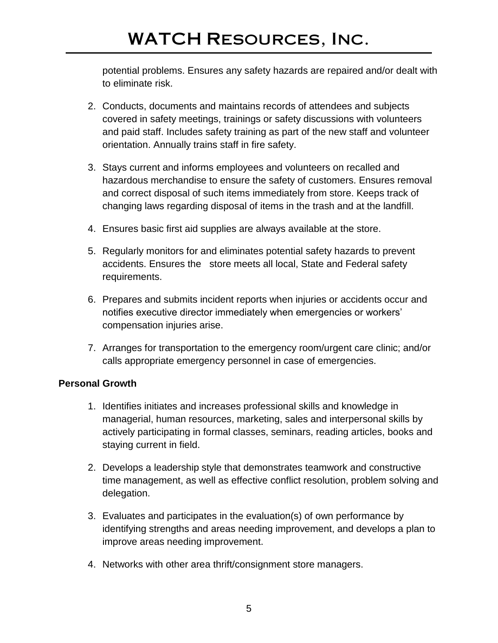# WATCH Resources, Inc.

potential problems. Ensures any safety hazards are repaired and/or dealt with to eliminate risk.

- 2. Conducts, documents and maintains records of attendees and subjects covered in safety meetings, trainings or safety discussions with volunteers and paid staff. Includes safety training as part of the new staff and volunteer orientation. Annually trains staff in fire safety.
- 3. Stays current and informs employees and volunteers on recalled and hazardous merchandise to ensure the safety of customers. Ensures removal and correct disposal of such items immediately from store. Keeps track of changing laws regarding disposal of items in the trash and at the landfill.
- 4. Ensures basic first aid supplies are always available at the store.
- 5. Regularly monitors for and eliminates potential safety hazards to prevent accidents. Ensures the store meets all local, State and Federal safety requirements.
- 6. Prepares and submits incident reports when injuries or accidents occur and notifies executive director immediately when emergencies or workers' compensation injuries arise.
- 7. Arranges for transportation to the emergency room/urgent care clinic; and/or calls appropriate emergency personnel in case of emergencies.

#### **Personal Growth**

- 1. Identifies initiates and increases professional skills and knowledge in managerial, human resources, marketing, sales and interpersonal skills by actively participating in formal classes, seminars, reading articles, books and staying current in field.
- 2. Develops a leadership style that demonstrates teamwork and constructive time management, as well as effective conflict resolution, problem solving and delegation.
- 3. Evaluates and participates in the evaluation(s) of own performance by identifying strengths and areas needing improvement, and develops a plan to improve areas needing improvement.
- 4. Networks with other area thrift/consignment store managers.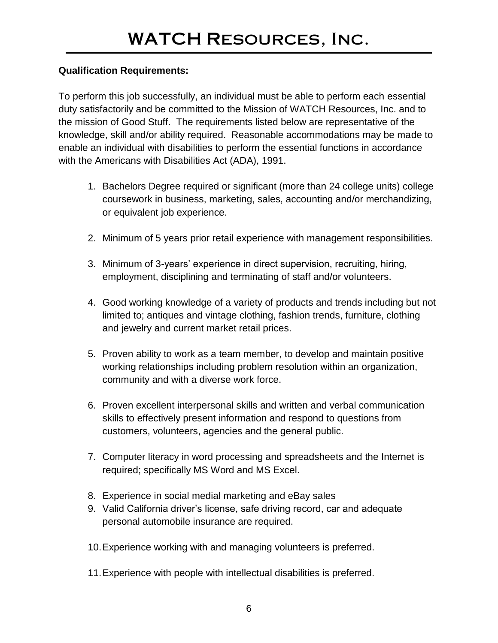#### **Qualification Requirements:**

To perform this job successfully, an individual must be able to perform each essential duty satisfactorily and be committed to the Mission of WATCH Resources, Inc. and to the mission of Good Stuff. The requirements listed below are representative of the knowledge, skill and/or ability required. Reasonable accommodations may be made to enable an individual with disabilities to perform the essential functions in accordance with the Americans with Disabilities Act (ADA), 1991.

- 1. Bachelors Degree required or significant (more than 24 college units) college coursework in business, marketing, sales, accounting and/or merchandizing, or equivalent job experience.
- 2. Minimum of 5 years prior retail experience with management responsibilities.
- 3. Minimum of 3-years' experience in direct supervision, recruiting, hiring, employment, disciplining and terminating of staff and/or volunteers.
- 4. Good working knowledge of a variety of products and trends including but not limited to; antiques and vintage clothing, fashion trends, furniture, clothing and jewelry and current market retail prices.
- 5. Proven ability to work as a team member, to develop and maintain positive working relationships including problem resolution within an organization, community and with a diverse work force.
- 6. Proven excellent interpersonal skills and written and verbal communication skills to effectively present information and respond to questions from customers, volunteers, agencies and the general public.
- 7. Computer literacy in word processing and spreadsheets and the Internet is required; specifically MS Word and MS Excel.
- 8. Experience in social medial marketing and eBay sales
- 9. Valid California driver's license, safe driving record, car and adequate personal automobile insurance are required.
- 10.Experience working with and managing volunteers is preferred.
- 11.Experience with people with intellectual disabilities is preferred.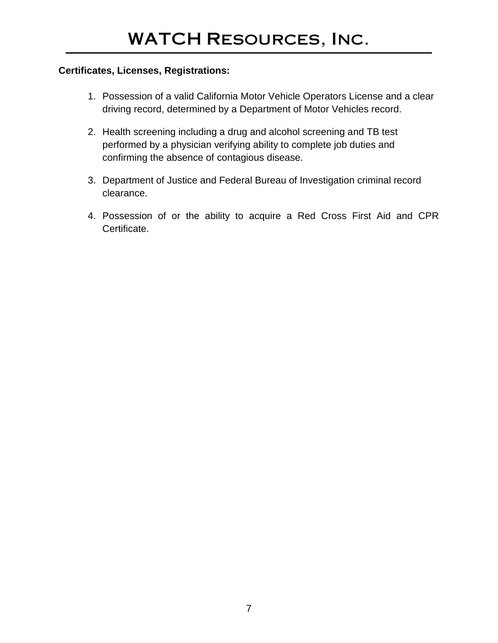#### **Certificates, Licenses, Registrations:**

- 1. Possession of a valid California Motor Vehicle Operators License and a clear driving record, determined by a Department of Motor Vehicles record.
- 2. Health screening including a drug and alcohol screening and TB test performed by a physician verifying ability to complete job duties and confirming the absence of contagious disease.
- 3. Department of Justice and Federal Bureau of Investigation criminal record clearance.
- 4. Possession of or the ability to acquire a Red Cross First Aid and CPR Certificate.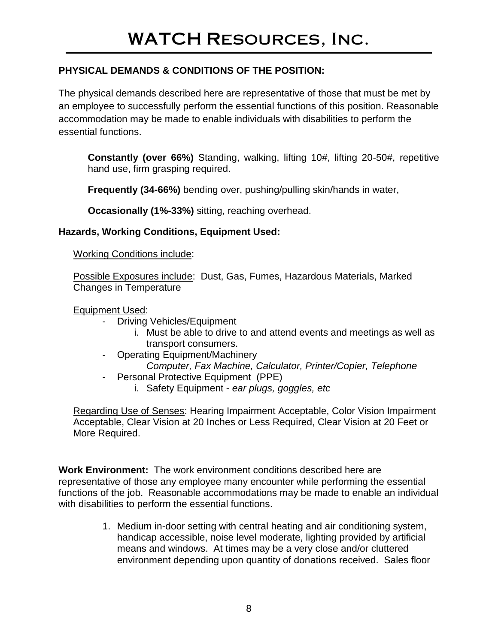## **PHYSICAL DEMANDS & CONDITIONS OF THE POSITION:**

The physical demands described here are representative of those that must be met by an employee to successfully perform the essential functions of this position. Reasonable accommodation may be made to enable individuals with disabilities to perform the essential functions.

**Constantly (over 66%)** Standing, walking, lifting 10#, lifting 20-50#, repetitive hand use, firm grasping required.

**Frequently (34-66%)** bending over, pushing/pulling skin/hands in water,

**Occasionally (1%-33%)** sitting, reaching overhead.

#### **Hazards, Working Conditions, Equipment Used:**

Working Conditions include:

Possible Exposures include: Dust, Gas, Fumes, Hazardous Materials, Marked Changes in Temperature

#### Equipment Used:

- Driving Vehicles/Equipment
	- i. Must be able to drive to and attend events and meetings as well as transport consumers.
- Operating Equipment/Machinery *Computer, Fax Machine, Calculator, Printer/Copier, Telephone*
- Personal Protective Equipment (PPE)
	- i. Safety Equipment *ear plugs, goggles, etc*

Regarding Use of Senses: Hearing Impairment Acceptable, Color Vision Impairment Acceptable, Clear Vision at 20 Inches or Less Required, Clear Vision at 20 Feet or More Required.

**Work Environment:** The work environment conditions described here are representative of those any employee many encounter while performing the essential functions of the job. Reasonable accommodations may be made to enable an individual with disabilities to perform the essential functions.

> 1. Medium in-door setting with central heating and air conditioning system, handicap accessible, noise level moderate, lighting provided by artificial means and windows. At times may be a very close and/or cluttered environment depending upon quantity of donations received. Sales floor